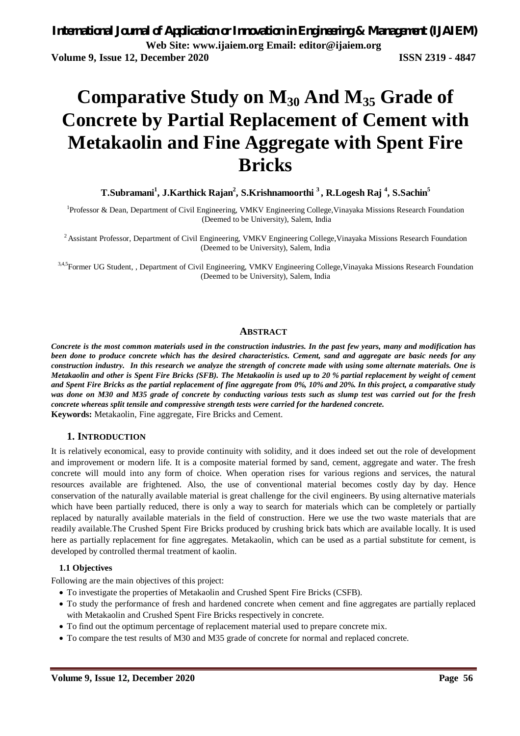# **Comparative Study on M<sup>30</sup> And M<sup>35</sup> Grade of Concrete by Partial Replacement of Cement with Metakaolin and Fine Aggregate with Spent Fire Bricks**

**T.Subramani<sup>1</sup> , J.Karthick Rajan<sup>2</sup> , S.Krishnamoorthi <sup>3</sup>, R.Logesh Raj <sup>4</sup> , S.Sachin<sup>5</sup>**

<sup>1</sup>Professor & Dean, Department of Civil Engineering, VMKV Engineering College, Vinayaka Missions Research Foundation (Deemed to be University), Salem, India

<sup>2</sup> Assistant Professor, Department of Civil Engineering, VMKV Engineering College, Vinayaka Missions Research Foundation (Deemed to be University), Salem, India

3,4,5 Former UG Student, , Department of Civil Engineering, VMKV Engineering College, Vinayaka Missions Research Foundation (Deemed to be University), Salem, India

#### **ABSTRACT**

*Concrete is the most common materials used in the construction industries. In the past few years, many and modification has been done to produce concrete which has the desired characteristics. Cement, sand and aggregate are basic needs for any construction industry. In this research we analyze the strength of concrete made with using some alternate materials. One is Metakaolin and other is Spent Fire Bricks (SFB). The Metakaolin is used up to 20 % partial replacement by weight of cement and Spent Fire Bricks as the partial replacement of fine aggregate from 0%, 10% and 20%. In this project, a comparative study was done on M30 and M35 grade of concrete by conducting various tests such as slump test was carried out for the fresh concrete whereas split tensile and compressive strength tests were carried for the hardened concrete.* **Keywords:** Metakaolin, Fine aggregate, Fire Bricks and Cement.

#### **1. INTRODUCTION**

It is relatively economical, easy to provide continuity with solidity, and it does indeed set out the role of development and improvement or modern life. It is a composite material formed by sand, cement, aggregate and water. The fresh concrete will mould into any form of choice. When operation rises for various regions and services, the natural resources available are frightened. Also, the use of conventional material becomes costly day by day. Hence conservation of the naturally available material is great challenge for the civil engineers. By using alternative materials which have been partially reduced, there is only a way to search for materials which can be completely or partially replaced by naturally available materials in the field of construction. Here we use the two waste materials that are readily available.The Crushed Spent Fire Bricks produced by crushing brick bats which are available locally. It is used here as partially replacement for fine aggregates. Metakaolin, which can be used as a partial substitute for cement, is developed by controlled thermal treatment of kaolin.

#### **1.1 Objectives**

Following are the main objectives of this project:

- To investigate the properties of Metakaolin and Crushed Spent Fire Bricks (CSFB).
- To study the performance of fresh and hardened concrete when cement and fine aggregates are partially replaced with Metakaolin and Crushed Spent Fire Bricks respectively in concrete.
- To find out the optimum percentage of replacement material used to prepare concrete mix.
- To compare the test results of M30 and M35 grade of concrete for normal and replaced concrete.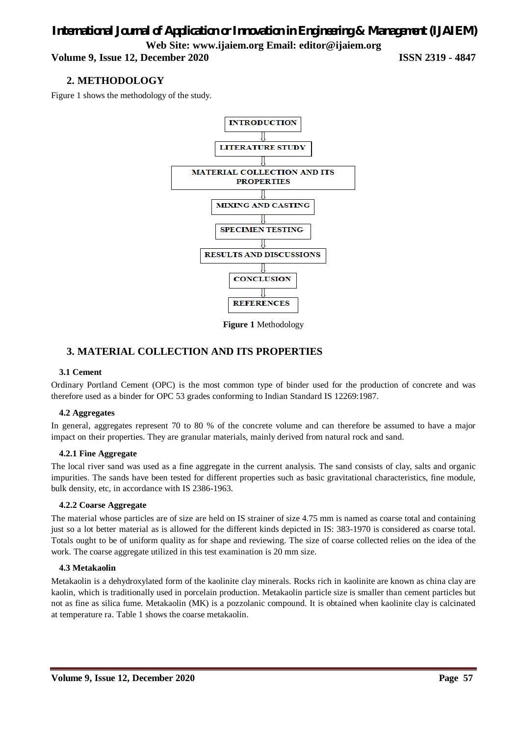**Volume 9, Issue 12, December 2020 ISSN 2319 - 4847**

### **2. METHODOLOGY**

Figure 1 shows the methodology of the study.



**Figure 1** Methodology

### **3. MATERIAL COLLECTION AND ITS PROPERTIES**

#### **3.1 Cement**

Ordinary Portland Cement (OPC) is the most common type of binder used for the production of concrete and was therefore used as a binder for OPC 53 grades conforming to Indian Standard IS 12269:1987.

#### **4.2 Aggregates**

In general, aggregates represent 70 to 80 % of the concrete volume and can therefore be assumed to have a major impact on their properties. They are granular materials, mainly derived from natural rock and sand.

#### **4.2.1 Fine Aggregate**

The local river sand was used as a fine aggregate in the current analysis. The sand consists of clay, salts and organic impurities. The sands have been tested for different properties such as basic gravitational characteristics, fine module, bulk density, etc, in accordance with IS 2386-1963.

#### **4.2.2 Coarse Aggregate**

The material whose particles are of size are held on IS strainer of size 4.75 mm is named as coarse total and containing just so a lot better material as is allowed for the different kinds depicted in IS: 383-1970 is considered as coarse total. Totals ought to be of uniform quality as for shape and reviewing. The size of coarse collected relies on the idea of the work. The coarse aggregate utilized in this test examination is 20 mm size.

#### **4.3 Metakaolin**

Metakaolin is a dehydroxylated form of the kaolinite clay minerals. Rocks rich in kaolinite are known as china clay are kaolin, which is traditionally used in porcelain production. Metakaolin particle size is smaller than cement particles but not as fine as silica fume. Metakaolin (MK) is a pozzolanic compound. It is obtained when kaolinite clay is calcinated at temperature ra. Table 1 shows the coarse metakaolin.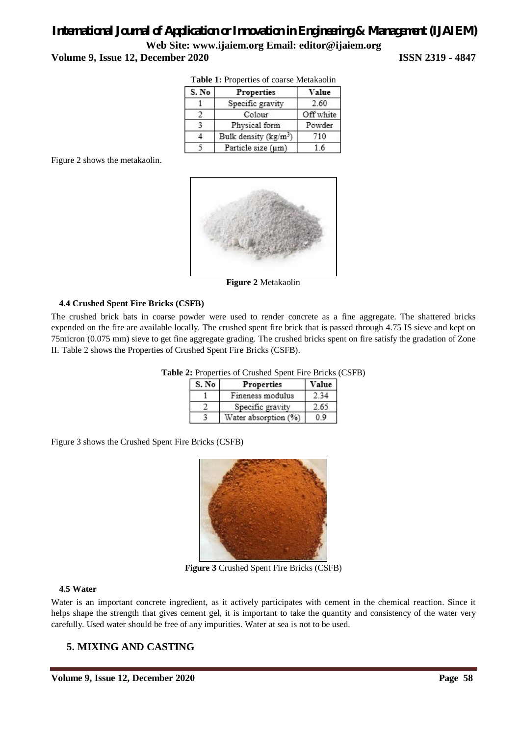|       | <b>Tuble 1:</b> 110 per frequence of course interaktional |           |  |  |  |  |
|-------|-----------------------------------------------------------|-----------|--|--|--|--|
| S. No | Properties                                                | Value     |  |  |  |  |
|       | Specific gravity                                          | 2.60      |  |  |  |  |
|       | Colour                                                    | Off white |  |  |  |  |
|       | Physical form                                             | Powder    |  |  |  |  |
|       | Bulk density ( $\text{kg/m}^3$ )                          | 710       |  |  |  |  |
|       | Particle size (um)                                        | 6         |  |  |  |  |

**Table 1:** Properties of coarse Metakaolin

Figure 2 shows the metakaolin.



**Figure 2** Metakaolin

#### **4.4 Crushed Spent Fire Bricks (CSFB)**

The crushed brick bats in coarse powder were used to render concrete as a fine aggregate. The shattered bricks expended on the fire are available locally. The crushed spent fire brick that is passed through 4.75 IS sieve and kept on 75micron (0.075 mm) sieve to get fine aggregate grading. The crushed bricks spent on fire satisfy the gradation of Zone II. Table 2 shows the Properties of Crushed Spent Fire Bricks (CSFB).

| S. No | Properties           | Value |  |  |
|-------|----------------------|-------|--|--|
|       | Fineness modulus     | 34    |  |  |
|       | Specific gravity     | 2.65  |  |  |
|       | Water absorption (%) |       |  |  |

**Table 2:** Properties of Crushed Spent Fire Bricks (CSFB)

Figure 3 shows the Crushed Spent Fire Bricks (CSFB)



**Figure 3** Crushed Spent Fire Bricks (CSFB)

#### **4.5 Water**

Water is an important concrete ingredient, as it actively participates with cement in the chemical reaction. Since it helps shape the strength that gives cement gel, it is important to take the quantity and consistency of the water very carefully. Used water should be free of any impurities. Water at sea is not to be used.

### **5. MIXING AND CASTING**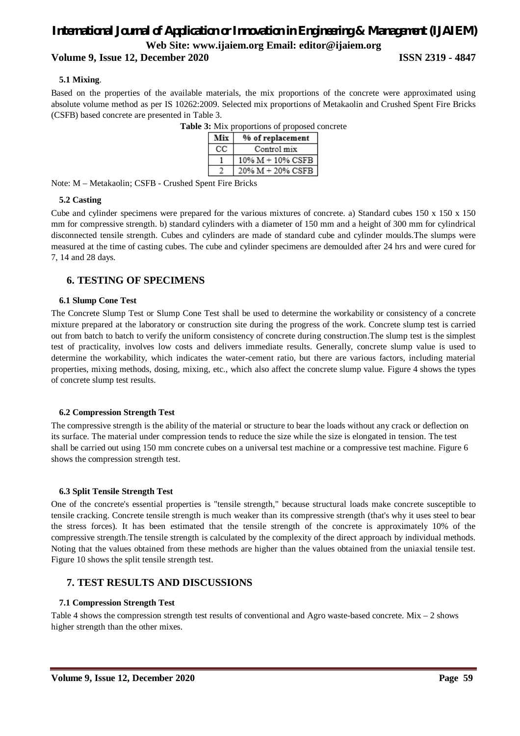#### **Volume 9, Issue 12, December 2020 ISSN 2319 - 4847**

#### **5.1 Mixing**.

Based on the properties of the available materials, the mix proportions of the concrete were approximated using absolute volume method as per IS 10262:2009. Selected mix proportions of Metakaolin and Crushed Spent Fire Bricks (CSFB) based concrete are presented in Table 3.

| Mix | % of replacement     |
|-----|----------------------|
| cс  | Control mix          |
|     | $10\% M + 10\% CSFB$ |
|     | 20% M + 20% CSFB     |

**Table 3:** Mix proportions of proposed concrete

Note: M – Metakaolin; CSFB - Crushed Spent Fire Bricks

#### **5.2 Casting**

Cube and cylinder specimens were prepared for the various mixtures of concrete. a) Standard cubes 150 x 150 x 150 mm for compressive strength. b) standard cylinders with a diameter of 150 mm and a height of 300 mm for cylindrical disconnected tensile strength. Cubes and cylinders are made of standard cube and cylinder moulds.The slumps were measured at the time of casting cubes. The cube and cylinder specimens are demoulded after 24 hrs and were cured for 7, 14 and 28 days.

#### **6. TESTING OF SPECIMENS**

#### **6.1 Slump Cone Test**

The Concrete Slump Test or Slump Cone Test shall be used to determine the workability or consistency of a concrete mixture prepared at the laboratory or construction site during the progress of the work. Concrete slump test is carried out from batch to batch to verify the uniform consistency of concrete during construction.The slump test is the simplest test of practicality, involves low costs and delivers immediate results. Generally, concrete slump value is used to determine the workability, which indicates the water-cement ratio, but there are various factors, including material properties, mixing methods, dosing, mixing, etc., which also affect the concrete slump value. Figure 4 shows the types of concrete slump test results.

#### **6.2 Compression Strength Test**

The compressive strength is the ability of the material or structure to bear the loads without any crack or deflection on its surface. The material under compression tends to reduce the size while the size is elongated in tension. The test shall be carried out using 150 mm concrete cubes on a universal test machine or a compressive test machine. Figure 6 shows the compression strength test.

#### **6.3 Split Tensile Strength Test**

One of the concrete's essential properties is "tensile strength," because structural loads make concrete susceptible to tensile cracking. Concrete tensile strength is much weaker than its compressive strength (that's why it uses steel to bear the stress forces). It has been estimated that the tensile strength of the concrete is approximately 10% of the compressive strength.The tensile strength is calculated by the complexity of the direct approach by individual methods. Noting that the values obtained from these methods are higher than the values obtained from the uniaxial tensile test. Figure 10 shows the split tensile strength test.

#### **7. TEST RESULTS AND DISCUSSIONS**

#### **7.1 Compression Strength Test**

Table 4 shows the compression strength test results of conventional and Agro waste-based concrete. Mix – 2 shows higher strength than the other mixes.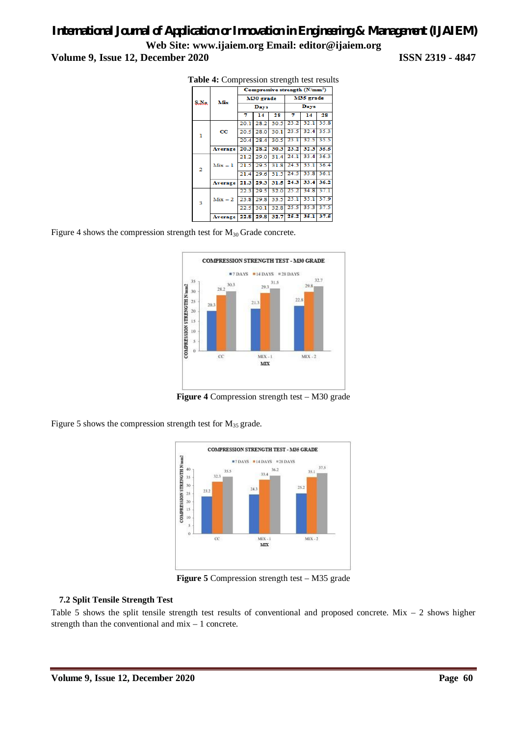|                | Mix         | Compressive strength $(N/mm2)$ |           |      |           |                |      |  |
|----------------|-------------|--------------------------------|-----------|------|-----------|----------------|------|--|
| S.No.          |             | M30 grade                      |           |      | M35 grade |                |      |  |
|                |             | Days                           |           |      | Days      |                |      |  |
|                |             | 7                              | 14        | 28   | 7         | 14             | 28   |  |
|                | $_{\rm cc}$ | 20.1                           | 28.2      | 30.5 | 23.2      | 32.1           | 35.8 |  |
| $\mathbf{I}$   |             | 20.5                           | 28.0      | 30.1 | 23.5      | 32.4           | 35.3 |  |
|                |             | 20.4                           | 28.4      | 30.5 | 23.1      | 32.5           | 35.5 |  |
|                | Average     | 20.3                           | 28.2      | 30.3 | 23.2      | 32.3           | 35.5 |  |
|                |             | 21.2                           | 29.0      | 31.4 | 24.1      | 33.4           | 36.3 |  |
| $\overline{2}$ | $Mix - 1$   | 21.5                           | 29.5      | 31.8 | 24.3      | 33.1           | 36.4 |  |
|                |             | 21.4                           | 29.6      | 31.5 | 24.5      | 33.8           | 36.1 |  |
|                | Average     | 21.3                           | 29.3      | 31.5 | 24.3      | 33.4           | 36.2 |  |
| 3              |             | 22.3                           | 29.5      | 32.0 | 25.2      | 34.8           | 37.1 |  |
|                | $Mix - 2$   | 23.8                           | 29.8      | 33.5 | 25.1      | 35.1           | 37.9 |  |
|                |             | 22.5                           | 30.1      | 32.8 | 25.5      | 35.3           | 37.5 |  |
|                | Average     |                                | 22.8 29.8 |      |           | 32.7 25.2 35.1 | 37.5 |  |

**Table 4:** Compression strength test results

Figure 4 shows the compression strength test for  $M_{30}$  Grade concrete.



**Figure 4** Compression strength test – M30 grade

Figure 5 shows the compression strength test for  $M_{35}$  grade.



**Figure 5** Compression strength test – M35 grade

#### **7.2 Split Tensile Strength Test**

Table 5 shows the split tensile strength test results of conventional and proposed concrete. Mix  $-2$  shows higher strength than the conventional and mix – 1 concrete.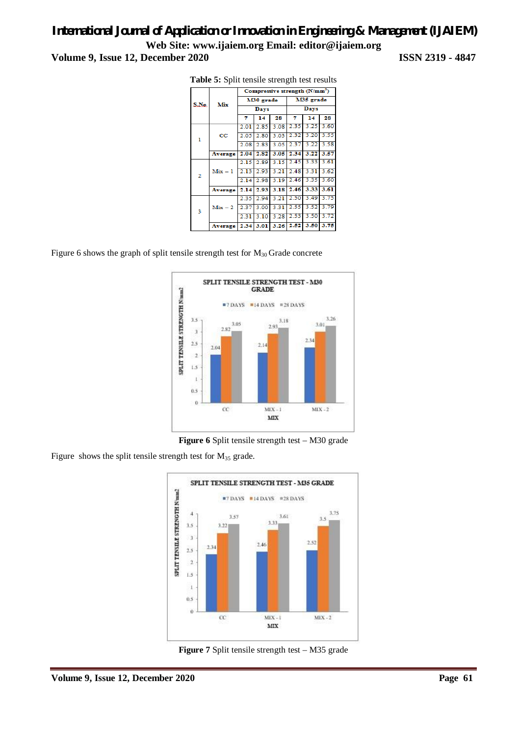|                | Mix         | Compressive strength $(N/mm2)$ |           |      |           |      |      |
|----------------|-------------|--------------------------------|-----------|------|-----------|------|------|
| S.No.          |             | M30 grade                      |           |      | M35 grade |      |      |
|                |             | Days                           |           |      | Days      |      |      |
|                |             | 7                              | 14        | 28   | 7         | 14   | 28   |
|                |             | 2.01                           | 2.85      | 3.08 | 2.35      | 3.25 | 3.60 |
| ı              | $_{\rm CC}$ | 2.05                           | 2.80      | 3.03 | 2.32      | 3.20 | 3.55 |
|                |             | 2.08                           | 2.83      | 3.05 | 2.37      | 3.22 | 3.58 |
|                | Average     | 2.04                           | 2.82      | 3.05 | 2.34      | 3.22 | 3.57 |
|                |             | 2.15                           | 2.89      | 3.15 | 2.45      | 3.33 | 3.61 |
| $\overline{2}$ | $Mix - 1$   |                                | 2.13 2.93 | 3.21 | 2.48      | 3.31 | 3.62 |
|                |             | 2.14                           | 2.98      | 3.19 | 2.46      | 3.35 | 3.60 |
|                | Average     |                                | 2.14 2.93 | 3.18 | 2.46      | 3.33 | 3.61 |
|                |             | 2.35                           | 2.94      | 3.21 | 2.50      | 3.49 | 3.75 |
| 3              | $Mix - 2$   | 2.37                           | 3.00      | 3.31 | 2.55      | 3.52 | 3.79 |
|                |             | 2.31                           | 3.10      | 3.28 | 2.53      | 3.50 | 3.72 |
|                | Average     | 2.34                           | 3.01      | 3.26 | 2.52      | 3.50 | 3.75 |

**Table 5:** Split tensile strength test results

Figure 6 shows the graph of split tensile strength test for  $M_{30}$  Grade concrete



Figure 6 Split tensile strength test – M30 grade

Figure shows the split tensile strength test for  $M_{35}$  grade.



Figure 7 Split tensile strength test – M35 grade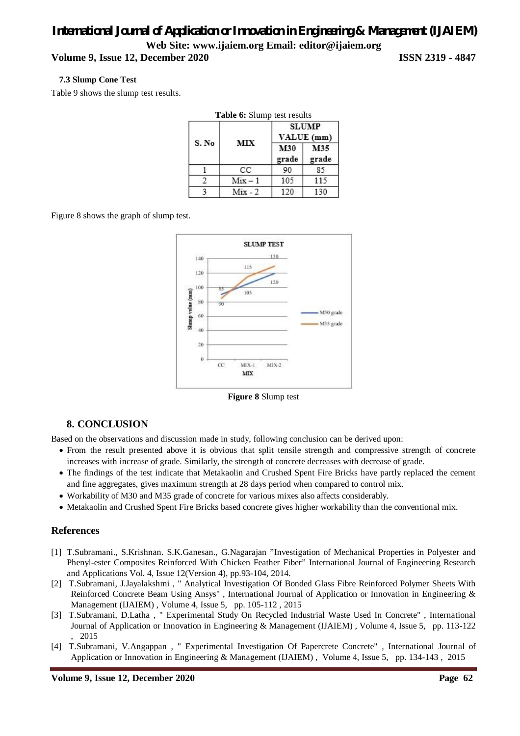#### **Volume 9, Issue 12, December 2020 ISSN 2319 - 4847**

#### **7.3 Slump Cone Test**

Table 9 shows the slump test results.

|       | Table 6: Slump test results |                            |              |  |
|-------|-----------------------------|----------------------------|--------------|--|
|       |                             | <b>SLUMP</b><br>VALUE (mm) |              |  |
| S. No | MIX                         | M30<br>grade               | M35<br>grade |  |
|       | СC                          | 90                         | 85           |  |
|       | $Mix - 1$                   | 105                        | 115          |  |
|       | $Mix - 2$                   | 120                        | 130          |  |

Figure 8 shows the graph of slump test.



**Figure 8** Slump test

#### **8. CONCLUSION**

Based on the observations and discussion made in study, following conclusion can be derived upon:

- From the result presented above it is obvious that split tensile strength and compressive strength of concrete increases with increase of grade. Similarly, the strength of concrete decreases with decrease of grade.
- The findings of the test indicate that Metakaolin and Crushed Spent Fire Bricks have partly replaced the cement and fine aggregates, gives maximum strength at 28 days period when compared to control mix.
- Workability of M30 and M35 grade of concrete for various mixes also affects considerably.
- Metakaolin and Crushed Spent Fire Bricks based concrete gives higher workability than the conventional mix.

#### **References**

- [1] T.Subramani., S.Krishnan. S.K.Ganesan., G.Nagarajan "Investigation of Mechanical Properties in Polyester and Phenyl-ester Composites Reinforced With Chicken Feather Fiber" International Journal of Engineering Research and Applications Vol. 4, Issue 12(Version 4), pp.93-104, 2014.
- [2] T.Subramani, J.Jayalakshmi , " Analytical Investigation Of Bonded Glass Fibre Reinforced Polymer Sheets With Reinforced Concrete Beam Using Ansys" , International Journal of Application or Innovation in Engineering & Management (IJAIEM) , Volume 4, Issue 5, pp. 105-112 , 2015
- [3] T.Subramani, D.Latha , " Experimental Study On Recycled Industrial Waste Used In Concrete" , International Journal of Application or Innovation in Engineering & Management (IJAIEM) , Volume 4, Issue 5, pp. 113-122 , 2015
- [4] T.Subramani, V.Angappan , " Experimental Investigation Of Papercrete Concrete" , International Journal of Application or Innovation in Engineering & Management (IJAIEM) , Volume 4, Issue 5, pp. 134-143 , 2015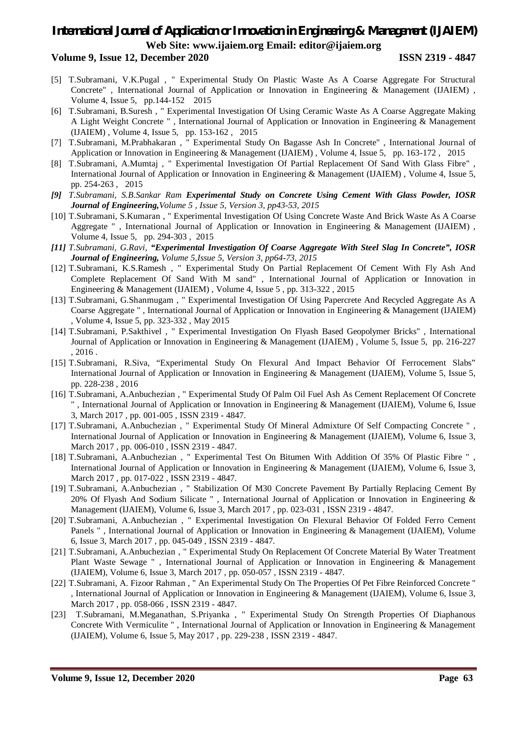#### **Volume 9, Issue 12, December 2020 ISSN 2319 - 4847**

- [5] T.Subramani, V.K.Pugal , " Experimental Study On Plastic Waste As A Coarse Aggregate For Structural Concrete" , International Journal of Application or Innovation in Engineering & Management (IJAIEM) , Volume 4, Issue 5, pp.144-152 2015
- [6] T.Subramani, B.Suresh , " Experimental Investigation Of Using Ceramic Waste As A Coarse Aggregate Making A Light Weight Concrete " , International Journal of Application or Innovation in Engineering & Management (IJAIEM) , Volume 4, Issue 5, pp. 153-162 , 2015
- [7] T.Subramani, M.Prabhakaran , " Experimental Study On Bagasse Ash In Concrete" , International Journal of Application or Innovation in Engineering & Management (IJAIEM) , Volume 4, Issue 5, pp. 163-172 , 2015
- [8] T.Subramani, A.Mumtaj , " Experimental Investigation Of Partial Replacement Of Sand With Glass Fibre" , International Journal of Application or Innovation in Engineering & Management (IJAIEM) , Volume 4, Issue 5, pp. 254-263 , 2015
- *[9] T.Subramani, S.B.Sankar Ram Experimental Study on Concrete Using Cement With Glass Powder, IOSR Journal of Engineering,Volume 5 , Issue 5, Version 3, pp43-53, 2015*
- [10] T.Subramani, S.Kumaran , " Experimental Investigation Of Using Concrete Waste And Brick Waste As A Coarse Aggregate " , International Journal of Application or Innovation in Engineering & Management (IJAIEM) , Volume 4, Issue 5, pp. 294-303 , 2015
- *[11] T.Subramani, G.Ravi, "Experimental Investigation Of Coarse Aggregate With Steel Slag In Concrete", IOSR Journal of Engineering, Volume 5,Issue 5, Version 3, pp64-73, 2015*
- [12] T.Subramani, K.S.Ramesh , " Experimental Study On Partial Replacement Of Cement With Fly Ash And Complete Replacement Of Sand With M sand" , International Journal of Application or Innovation in Engineering & Management (IJAIEM) , Volume 4, Issue 5 , pp. 313-322 , 2015
- [13] T.Subramani, G.Shanmugam , " Experimental Investigation Of Using Papercrete And Recycled Aggregate As A Coarse Aggregate " , International Journal of Application or Innovation in Engineering & Management (IJAIEM) , Volume 4, Issue 5, pp. 323-332 , May 2015
- [14] T.Subramani, P.Sakthivel , " Experimental Investigation On Flyash Based Geopolymer Bricks" , International Journal of Application or Innovation in Engineering & Management (IJAIEM) , Volume 5, Issue 5, pp. 216-227 , 2016 .
- [15] T.Subramani, R.Siva, "Experimental Study On Flexural And Impact Behavior Of Ferrocement Slabs" International Journal of Application or Innovation in Engineering & Management (IJAIEM), Volume 5, Issue 5, pp. 228-238 , 2016
- [16] T.Subramani, A.Anbuchezian , " Experimental Study Of Palm Oil Fuel Ash As Cement Replacement Of Concrete " , International Journal of Application or Innovation in Engineering & Management (IJAIEM), Volume 6, Issue 3, March 2017 , pp. 001-005 , ISSN 2319 - 4847.
- [17] T.Subramani, A.Anbuchezian , " Experimental Study Of Mineral Admixture Of Self Compacting Concrete " , International Journal of Application or Innovation in Engineering & Management (IJAIEM), Volume 6, Issue 3, March 2017 , pp. 006-010 , ISSN 2319 - 4847.
- [18] T.Subramani, A.Anbuchezian , " Experimental Test On Bitumen With Addition Of 35% Of Plastic Fibre " , International Journal of Application or Innovation in Engineering & Management (IJAIEM), Volume 6, Issue 3, March 2017 , pp. 017-022 , ISSN 2319 - 4847.
- [19] T.Subramani, A.Anbuchezian , " Stabilization Of M30 Concrete Pavement By Partially Replacing Cement By 20% Of Flyash And Sodium Silicate " , International Journal of Application or Innovation in Engineering & Management (IJAIEM), Volume 6, Issue 3, March 2017 , pp. 023-031 , ISSN 2319 - 4847.
- [20] T.Subramani, A.Anbuchezian , " Experimental Investigation On Flexural Behavior Of Folded Ferro Cement Panels " , International Journal of Application or Innovation in Engineering & Management (IJAIEM), Volume 6, Issue 3, March 2017 , pp. 045-049 , ISSN 2319 - 4847.
- [21] T.Subramani, A.Anbuchezian , " Experimental Study On Replacement Of Concrete Material By Water Treatment Plant Waste Sewage " , International Journal of Application or Innovation in Engineering & Management (IJAIEM), Volume 6, Issue 3, March 2017 , pp. 050-057 , ISSN 2319 - 4847.
- [22] T.Subramani, A. Fizoor Rahman, " An Experimental Study On The Properties Of Pet Fibre Reinforced Concrete " , International Journal of Application or Innovation in Engineering & Management (IJAIEM), Volume 6, Issue 3, March 2017 , pp. 058-066 , ISSN 2319 - 4847.
- [23] T.Subramani, M.Meganathan, S.Priyanka , " Experimental Study On Strength Properties Of Diaphanous Concrete With Vermiculite " , International Journal of Application or Innovation in Engineering & Management (IJAIEM), Volume 6, Issue 5, May 2017 , pp. 229-238 , ISSN 2319 - 4847.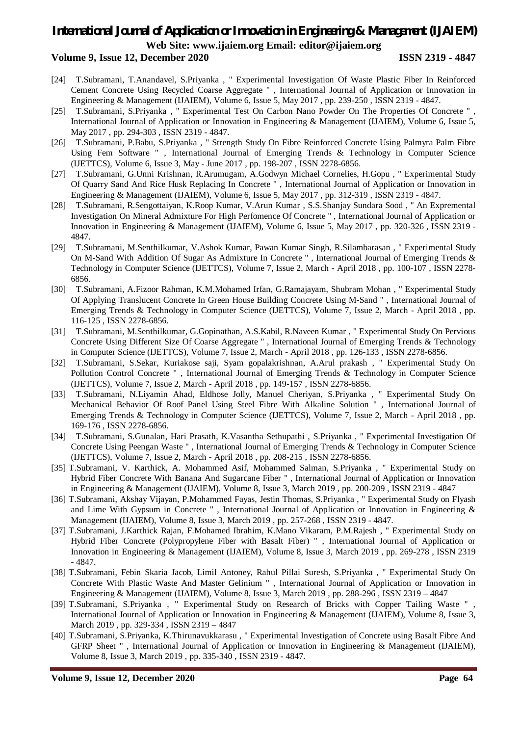#### **Volume 9, Issue 12, December 2020 ISSN 2319 - 4847**

- [24] T.Subramani, T.Anandavel, S.Priyanka , " Experimental Investigation Of Waste Plastic Fiber In Reinforced Cement Concrete Using Recycled Coarse Aggregate " , International Journal of Application or Innovation in Engineering & Management (IJAIEM), Volume 6, Issue 5, May 2017 , pp. 239-250 , ISSN 2319 - 4847.
- [25] T.Subramani, S.Priyanka , " Experimental Test On Carbon Nano Powder On The Properties Of Concrete " , International Journal of Application or Innovation in Engineering & Management (IJAIEM), Volume 6, Issue 5, May 2017 , pp. 294-303 , ISSN 2319 - 4847.
- [26] T.Subramani, P.Babu, S.Priyanka , " Strength Study On Fibre Reinforced Concrete Using Palmyra Palm Fibre Using Fem Software " , International Journal of Emerging Trends & Technology in Computer Science (IJETTCS), Volume 6, Issue 3, May - June 2017 , pp. 198-207 , ISSN 2278-6856.
- [27] T.Subramani, G.Unni Krishnan, R.Arumugam, A.Godwyn Michael Cornelies, H.Gopu , " Experimental Study Of Quarry Sand And Rice Husk Replacing In Concrete " , International Journal of Application or Innovation in Engineering & Management (IJAIEM), Volume 6, Issue 5, May 2017 , pp. 312-319 , ISSN 2319 - 4847.
- [28] T.Subramani, R.Sengottaiyan, K.Roop Kumar, V.Arun Kumar , S.S.Shanjay Sundara Sood , " An Expremental Investigation On Mineral Admixture For High Perfomence Of Concrete " , International Journal of Application or Innovation in Engineering & Management (IJAIEM), Volume 6, Issue 5, May 2017 , pp. 320-326 , ISSN 2319 - 4847.
- [29] T.Subramani, M.Senthilkumar, V.Ashok Kumar, Pawan Kumar Singh, R.Silambarasan , " Experimental Study On M-Sand With Addition Of Sugar As Admixture In Concrete " , International Journal of Emerging Trends & Technology in Computer Science (IJETTCS), Volume 7, Issue 2, March - April 2018 , pp. 100-107 , ISSN 2278- 6856.
- [30] T.Subramani, A.Fizoor Rahman, K.M.Mohamed Irfan, G.Ramajayam, Shubram Mohan , " Experimental Study Of Applying Translucent Concrete In Green House Building Concrete Using M-Sand " , International Journal of Emerging Trends & Technology in Computer Science (IJETTCS), Volume 7, Issue 2, March - April 2018 , pp. 116-125 , ISSN 2278-6856.
- [31] T.Subramani, M.Senthilkumar, G.Gopinathan, A.S.Kabil, R.Naveen Kumar , " Experimental Study On Pervious Concrete Using Different Size Of Coarse Aggregate " , International Journal of Emerging Trends & Technology in Computer Science (IJETTCS), Volume 7, Issue 2, March - April 2018 , pp. 126-133 , ISSN 2278-6856.
- [32] T.Subramani, S.Sekar, Kuriakose saji, Syam gopalakrishnan, A.Arul prakash , " Experimental Study On Pollution Control Concrete " , International Journal of Emerging Trends & Technology in Computer Science (IJETTCS), Volume 7, Issue 2, March - April 2018 , pp. 149-157 , ISSN 2278-6856.
- [33] T.Subramani, N.Liyamin Ahad, Eldhose Jolly, Manuel Cheriyan, S.Priyanka , " Experimental Study On Mechanical Behavior Of Roof Panel Using Steel Fibre With Alkaline Solution " , International Journal of Emerging Trends & Technology in Computer Science (IJETTCS), Volume 7, Issue 2, March - April 2018 , pp. 169-176 , ISSN 2278-6856.
- [34] T.Subramani, S.Gunalan, Hari Prasath, K.Vasantha Sethupathi , S.Priyanka , " Experimental Investigation Of Concrete Using Peengan Waste " , International Journal of Emerging Trends & Technology in Computer Science (IJETTCS), Volume 7, Issue 2, March - April 2018 , pp. 208-215 , ISSN 2278-6856.
- [35] T.Subramani, V. Karthick, A. Mohammed Asif, Mohammed Salman, S.Priyanka , " Experimental Study on Hybrid Fiber Concrete With Banana And Sugarcane Fiber " , International Journal of Application or Innovation in Engineering & Management (IJAIEM), Volume 8, Issue 3, March 2019 , pp. 200-209 , ISSN 2319 - 4847
- [36] T.Subramani, Akshay Vijayan, P.Mohammed Fayas, Jestin Thomas, S.Priyanka , " Experimental Study on Flyash and Lime With Gypsum in Concrete " , International Journal of Application or Innovation in Engineering & Management (IJAIEM), Volume 8, Issue 3, March 2019 , pp. 257-268 , ISSN 2319 - 4847.
- [37] T.Subramani, J.Karthick Rajan, F.Mohamed Ibrahim, K.Mano Vikaram, P.M.Rajesh , " Experimental Study on Hybrid Fiber Concrete (Polypropylene Fiber with Basalt Fiber) " , International Journal of Application or Innovation in Engineering & Management (IJAIEM), Volume 8, Issue 3, March 2019 , pp. 269-278 , ISSN 2319 - 4847.
- [38] T.Subramani, Febin Skaria Jacob, Limil Antoney, Rahul Pillai Suresh, S.Priyanka , " Experimental Study On Concrete With Plastic Waste And Master Gelinium " , International Journal of Application or Innovation in Engineering & Management (IJAIEM), Volume 8, Issue 3, March 2019 , pp. 288-296 , ISSN 2319 – 4847
- [39] T.Subramani, S.Priyanka , " Experimental Study on Research of Bricks with Copper Tailing Waste " , International Journal of Application or Innovation in Engineering & Management (IJAIEM), Volume 8, Issue 3, March 2019 , pp. 329-334 , ISSN 2319 – 4847
- [40] T.Subramani, S.Priyanka, K.Thirunavukkarasu , " Experimental Investigation of Concrete using Basalt Fibre And GFRP Sheet " , International Journal of Application or Innovation in Engineering & Management (IJAIEM), Volume 8, Issue 3, March 2019 , pp. 335-340 , ISSN 2319 - 4847.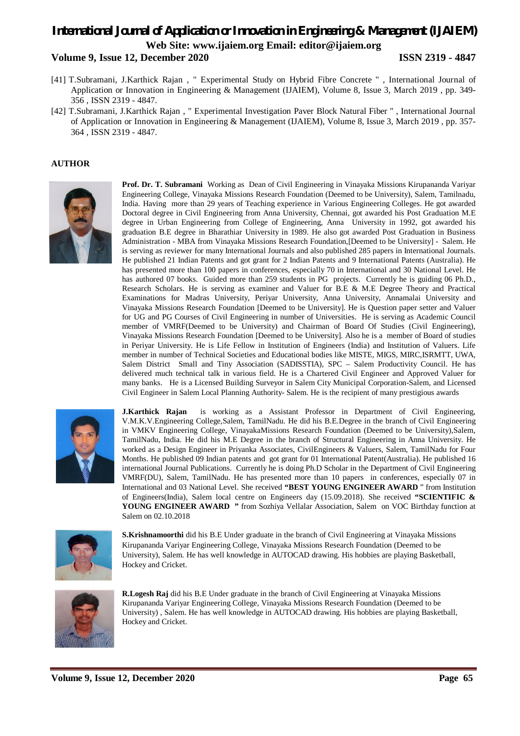#### **Volume 9, Issue 12, December 2020 ISSN 2319 - 4847**

- [41] T.Subramani, J.Karthick Rajan , " Experimental Study on Hybrid Fibre Concrete " , International Journal of Application or Innovation in Engineering & Management (IJAIEM), Volume 8, Issue 3, March 2019 , pp. 349- 356 , ISSN 2319 - 4847.
- [42] T.Subramani, J.Karthick Rajan , " Experimental Investigation Paver Block Natural Fiber " , International Journal of Application or Innovation in Engineering & Management (IJAIEM), Volume 8, Issue 3, March 2019 , pp. 357- 364 , ISSN 2319 - 4847.

#### **AUTHOR**



**Prof. Dr. T. Subramani** Working as Dean of Civil Engineering in Vinayaka Missions Kirupananda Variyar Engineering College, Vinayaka Missions Research Foundation (Deemed to be University), Salem, Tamilnadu, India. Having more than 29 years of Teaching experience in Various Engineering Colleges. He got awarded Doctoral degree in Civil Engineering from Anna University, Chennai, got awarded his Post Graduation M.E degree in Urban Engineering from College of Engineering, Anna University in 1992, got awarded his graduation B.E degree in Bharathiar University in 1989. He also got awarded Post Graduation in Business Administration - MBA from Vinayaka Missions Research Foundation,[Deemed to be University] - Salem. He is serving as reviewer for many International Journals and also published 285 papers in International Journals. He published 21 Indian Patents and got grant for 2 Indian Patents and 9 International Patents (Australia). He has presented more than 100 papers in conferences, especially 70 in International and 30 National Level. He has authored 07 books. Guided more than 259 students in PG projects. Currently he is guiding 06 Ph.D., Research Scholars. He is serving as examiner and Valuer for B.E & M.E Degree Theory and Practical Examinations for Madras University, Periyar University, Anna University, Annamalai University and Vinayaka Missions Research Foundation [Deemed to be University]. He is Question paper setter and Valuer for UG and PG Courses of Civil Engineering in number of Universities. He is serving as Academic Council member of VMRF(Deemed to be University) and Chairman of Board Of Studies (Civil Engineering), Vinayaka Missions Research Foundation [Deemed to be University]. Also he is a member of Board of studies in Periyar University. He is Life Fellow in Institution of Engineers (India) and Institution of Valuers. Life member in number of Technical Societies and Educational bodies like MISTE, MIGS, MIRC,ISRMTT, UWA, Salem District Small and Tiny Association (SADISSTIA), SPC – Salem Productivity Council. He has delivered much technical talk in various field. He is a Chartered Civil Engineer and Approved Valuer for many banks. He is a Licensed Building Surveyor in Salem City Municipal Corporation-Salem, and Licensed Civil Engineer in Salem Local Planning Authority- Salem. He is the recipient of many prestigious awards



**J.Karthick Rajan** is working as a Assistant Professor in Department of Civil Engineering, V.M.K.V.Engineering College,Salem, TamilNadu. He did his B.E.Degree in the branch of Civil Engineering in VMKV Engineering College, VinayakaMissions Research Foundation (Deemed to be University),Salem, TamilNadu, India. He did his M.E Degree in the branch of Structural Engineering in Anna University. He worked as a Design Engineer in Priyanka Associates, CivilEngineers & Valuers, Salem, TamilNadu for Four Months. He published 09 Indian patents and got grant for 01 International Patent(Australia). He published 16 international Journal Publications. Currently he is doing Ph.D Scholar in the Department of Civil Engineering VMRF(DU), Salem, TamilNadu. He has presented more than 10 papers in conferences, especially 07 in International and 03 National Level. She received **"BEST YOUNG ENGINEER AWARD** " from Institution of Engineers(India), Salem local centre on Engineers day (15.09.2018). She received **"SCIENTIFIC & YOUNG ENGINEER AWARD "** from Sozhiya Vellalar Association, Salem on VOC Birthday function at Salem on 02.10.2018



**S.Krishnamoorthi** did his B.E Under graduate in the branch of Civil Engineering at Vinayaka Missions Kirupananda Variyar Engineering College, Vinayaka Missions Research Foundation (Deemed to be University), Salem. He has well knowledge in AUTOCAD drawing. His hobbies are playing Basketball, Hockey and Cricket.



**R.Logesh Raj** did his B.E Under graduate in the branch of Civil Engineering at Vinayaka Missions Kirupananda Variyar Engineering College, Vinayaka Missions Research Foundation (Deemed to be University) , Salem. He has well knowledge in AUTOCAD drawing. His hobbies are playing Basketball, Hockey and Cricket.